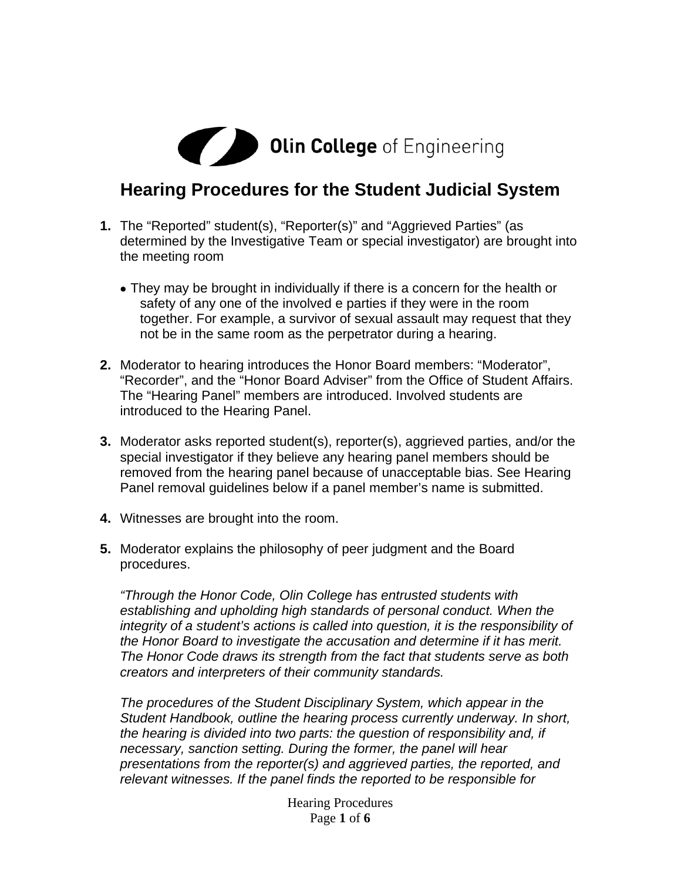# **Olin College** of Engineering

### **Hearing Procedures for the Student Judicial System**

- **1.** The "Reported" student(s), "Reporter(s)" and "Aggrieved Parties" (as determined by the Investigative Team or special investigator) are brought into the meeting room
	- They may be brought in individually if there is a concern for the health or safety of any one of the involved e parties if they were in the room together. For example, a survivor of sexual assault may request that they not be in the same room as the perpetrator during a hearing.
- **2.** Moderator to hearing introduces the Honor Board members: "Moderator", "Recorder", and the "Honor Board Adviser" from the Office of Student Affairs. The "Hearing Panel" members are introduced. Involved students are introduced to the Hearing Panel.
- **3.** Moderator asks reported student(s), reporter(s), aggrieved parties, and/or the special investigator if they believe any hearing panel members should be removed from the hearing panel because of unacceptable bias. See Hearing Panel removal guidelines below if a panel member's name is submitted.
- **4.** Witnesses are brought into the room.
- **5.** Moderator explains the philosophy of peer judgment and the Board procedures.

*"Through the Honor Code, Olin College has entrusted students with establishing and upholding high standards of personal conduct. When the integrity of a student's actions is called into question, it is the responsibility of the Honor Board to investigate the accusation and determine if it has merit. The Honor Code draws its strength from the fact that students serve as both creators and interpreters of their community standards.* 

*The procedures of the Student Disciplinary System, which appear in the Student Handbook, outline the hearing process currently underway. In short, the hearing is divided into two parts: the question of responsibility and, if necessary, sanction setting. During the former, the panel will hear presentations from the reporter(s) and aggrieved parties, the reported, and relevant witnesses. If the panel finds the reported to be responsible for* 

> Hearing Procedures Page **1** of **6**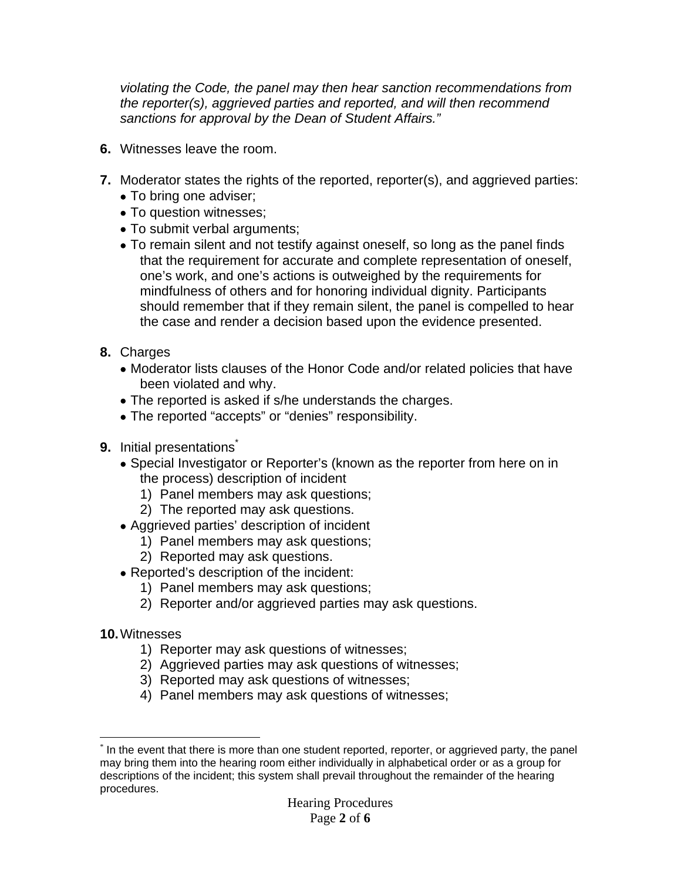*violating the Code, the panel may then hear sanction recommendations from the reporter(s), aggrieved parties and reported, and will then recommend sanctions for approval by the Dean of Student Affairs."*

- **6.** Witnesses leave the room.
- **7.** Moderator states the rights of the reported, reporter(s), and aggrieved parties:
	- To bring one adviser;
	- To question witnesses;
	- To submit verbal arguments;
	- To remain silent and not testify against oneself, so long as the panel finds that the requirement for accurate and complete representation of oneself, one's work, and one's actions is outweighed by the requirements for mindfulness of others and for honoring individual dignity. Participants should remember that if they remain silent, the panel is compelled to hear the case and render a decision based upon the evidence presented.
- **8.** Charges
	- Moderator lists clauses of the Honor Code and/or related policies that have been violated and why.
	- The reported is asked if s/he understands the charges.
	- The reported "accepts" or "denies" responsibility.
- **9.** Initial presentations
	- Special Investigator or Reporter's (known as the reporter from here on in the process) description of incident
		- 1) Panel members may ask questions;
		- 2) The reported may ask questions.
	- Aggrieved parties' description of incident
		- 1) Panel members may ask questions;
		- 2) Reported may ask questions.
	- Reported's description of the incident:
		- 1) Panel members may ask questions;
		- 2) Reporter and/or aggrieved parties may ask questions.
- **10.** Witnesses
	- 1) Reporter may ask questions of witnesses;
	- 2) Aggrieved parties may ask questions of witnesses;
	- 3) Reported may ask questions of witnesses;
	- 4) Panel members may ask questions of witnesses;

 $\overline{a}$ \* In the event that there is more than one student reported, reporter, or aggrieved party, the panel may bring them into the hearing room either individually in alphabetical order or as a group for descriptions of the incident; this system shall prevail throughout the remainder of the hearing procedures.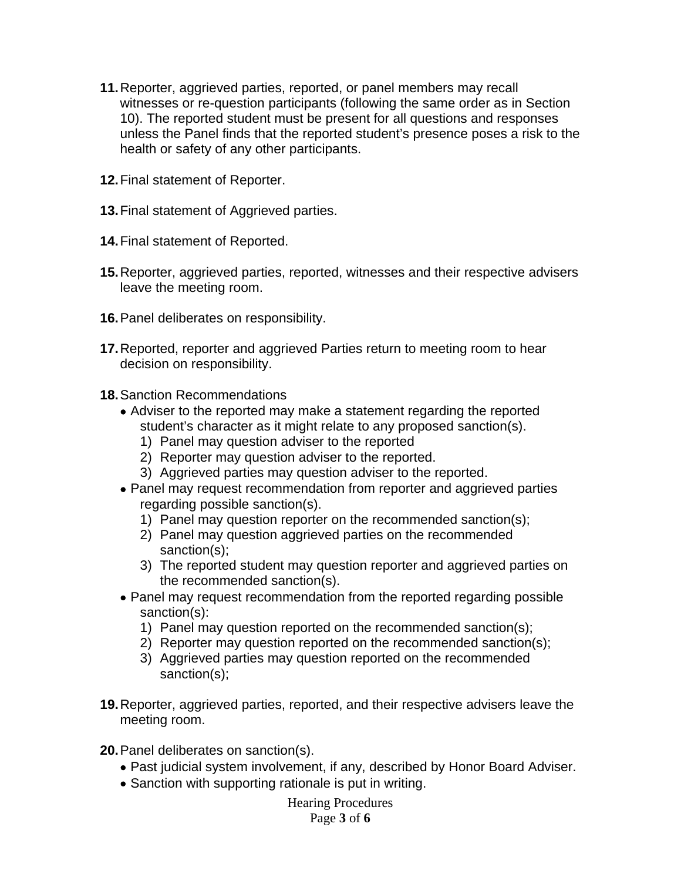- **11.** Reporter, aggrieved parties, reported, or panel members may recall witnesses or re-question participants (following the same order as in Section 10). The reported student must be present for all questions and responses unless the Panel finds that the reported student's presence poses a risk to the health or safety of any other participants.
- **12.** Final statement of Reporter.
- **13.** Final statement of Aggrieved parties.
- **14.** Final statement of Reported.
- **15.** Reporter, aggrieved parties, reported, witnesses and their respective advisers leave the meeting room.
- **16.** Panel deliberates on responsibility.
- **17.** Reported, reporter and aggrieved Parties return to meeting room to hear decision on responsibility.
- **18.** Sanction Recommendations
	- Adviser to the reported may make a statement regarding the reported student's character as it might relate to any proposed sanction(s).
		- 1) Panel may question adviser to the reported
		- 2) Reporter may question adviser to the reported.
		- 3) Aggrieved parties may question adviser to the reported.
	- Panel may request recommendation from reporter and aggrieved parties regarding possible sanction(s).
		- 1) Panel may question reporter on the recommended sanction(s);
		- 2) Panel may question aggrieved parties on the recommended sanction(s);
		- 3) The reported student may question reporter and aggrieved parties on the recommended sanction(s).
	- Panel may request recommendation from the reported regarding possible sanction(s):
		- 1) Panel may question reported on the recommended sanction(s);
		- 2) Reporter may question reported on the recommended sanction(s);
		- 3) Aggrieved parties may question reported on the recommended sanction(s);
- **19.** Reporter, aggrieved parties, reported, and their respective advisers leave the meeting room.
- **20.** Panel deliberates on sanction(s).
	- Past judicial system involvement, if any, described by Honor Board Adviser.
	- Sanction with supporting rationale is put in writing.

#### Hearing Procedures

#### Page **3** of **6**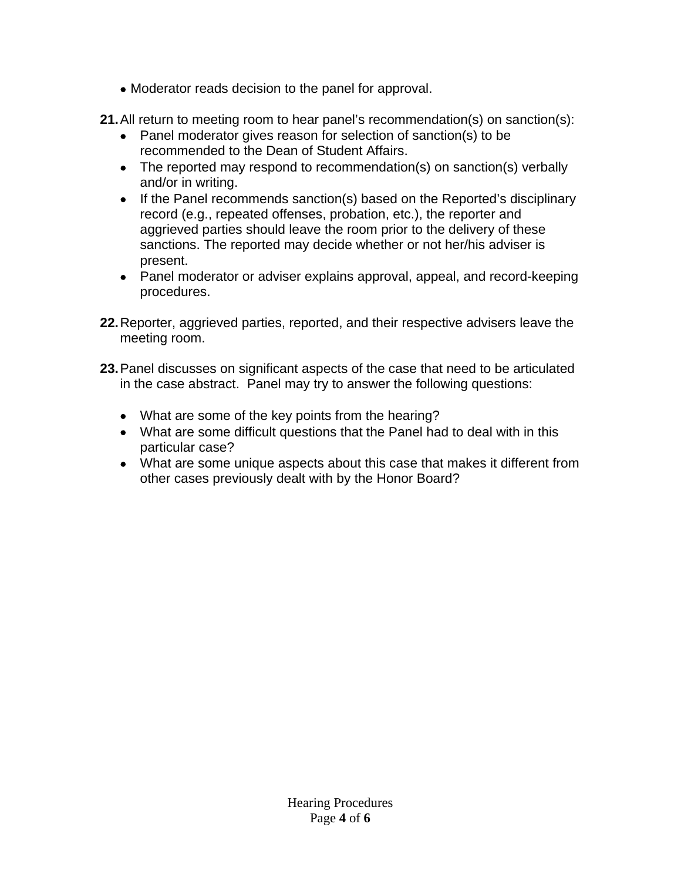- Moderator reads decision to the panel for approval.
- **21.** All return to meeting room to hear panel's recommendation(s) on sanction(s):
	- Panel moderator gives reason for selection of sanction(s) to be recommended to the Dean of Student Affairs.
	- The reported may respond to recommendation(s) on sanction(s) verbally and/or in writing.
	- If the Panel recommends sanction(s) based on the Reported's disciplinary record (e.g., repeated offenses, probation, etc.), the reporter and aggrieved parties should leave the room prior to the delivery of these sanctions. The reported may decide whether or not her/his adviser is present.
	- Panel moderator or adviser explains approval, appeal, and record-keeping procedures.
- **22.** Reporter, aggrieved parties, reported, and their respective advisers leave the meeting room.
- **23.** Panel discusses on significant aspects of the case that need to be articulated in the case abstract. Panel may try to answer the following questions:
	- What are some of the key points from the hearing?
	- What are some difficult questions that the Panel had to deal with in this particular case?
	- What are some unique aspects about this case that makes it different from other cases previously dealt with by the Honor Board?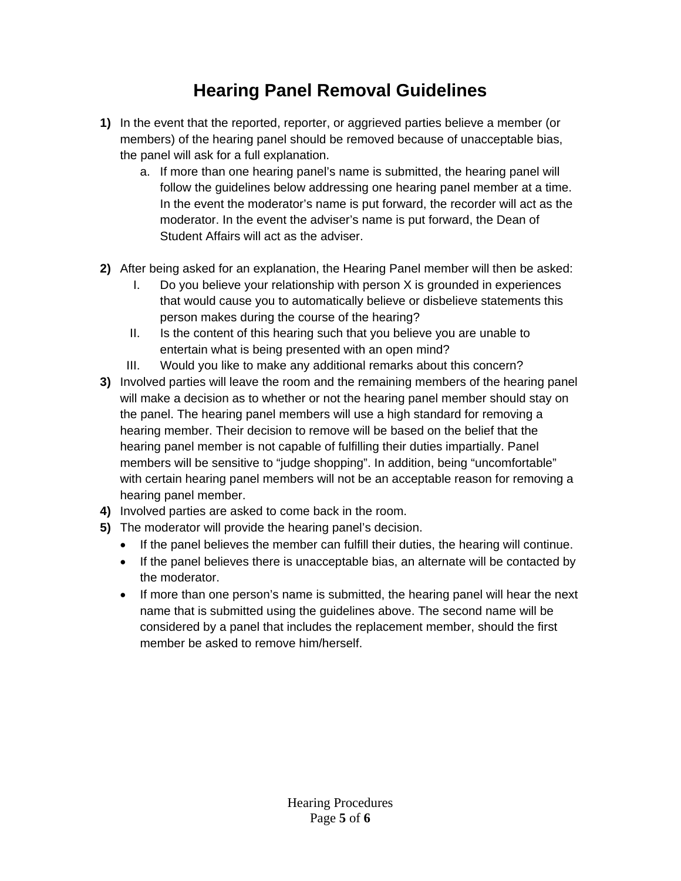## **Hearing Panel Removal Guidelines**

- **1)** In the event that the reported, reporter, or aggrieved parties believe a member (or members) of the hearing panel should be removed because of unacceptable bias, the panel will ask for a full explanation.
	- a. If more than one hearing panel's name is submitted, the hearing panel will follow the guidelines below addressing one hearing panel member at a time. In the event the moderator's name is put forward, the recorder will act as the moderator. In the event the adviser's name is put forward, the Dean of Student Affairs will act as the adviser.
- **2)** After being asked for an explanation, the Hearing Panel member will then be asked:
	- I. Do you believe your relationship with person X is grounded in experiences that would cause you to automatically believe or disbelieve statements this person makes during the course of the hearing?
	- II. Is the content of this hearing such that you believe you are unable to entertain what is being presented with an open mind?
	- III. Would you like to make any additional remarks about this concern?
- **3)** Involved parties will leave the room and the remaining members of the hearing panel will make a decision as to whether or not the hearing panel member should stay on the panel. The hearing panel members will use a high standard for removing a hearing member. Their decision to remove will be based on the belief that the hearing panel member is not capable of fulfilling their duties impartially. Panel members will be sensitive to "judge shopping". In addition, being "uncomfortable" with certain hearing panel members will not be an acceptable reason for removing a hearing panel member.
- **4)** Involved parties are asked to come back in the room.
- **5)** The moderator will provide the hearing panel's decision.
	- If the panel believes the member can fulfill their duties, the hearing will continue.
	- If the panel believes there is unacceptable bias, an alternate will be contacted by the moderator.
	- If more than one person's name is submitted, the hearing panel will hear the next name that is submitted using the guidelines above. The second name will be considered by a panel that includes the replacement member, should the first member be asked to remove him/herself.